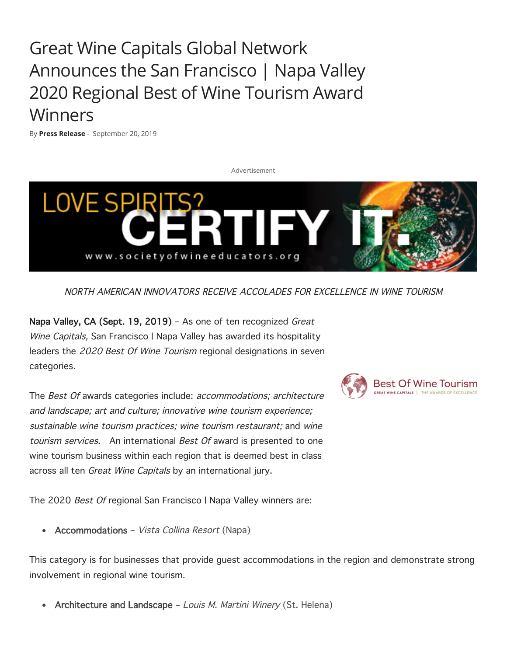Great Wine Capitals Global Network Announces the San Francisco | Napa Valley 2020 Regional Best of Wine Tourism Award Winners

By **Press Release** - September 20, 2019



NORTH AMERICAN INNOVATORS RECEIVE ACCOLADES FOR EXCELLENCE IN WINE TOURISM

Napa Valley, CA (Sept. 19, 2019) - As one of ten recognized Great Wine Capitals, San Francisco | Napa Valley has awarded its hospitality leaders the 2020 Best Of Wine Tourism regional designations in seven categories.

The Best Of awards categories include: accommodations; architecture and landscape; art and culture; innovative wine tourism experience; sustainable wine tourism practices; wine tourism restaurant; and wine tourism services. An international Best Of award is presented to one wine tourism business within each region that is deemed best in class across all ten Great Wine Capitals by an international jury.

The 2020 Best Of regional San Francisco | Napa Valley winners are:

• Accommodations - Vista Collina Resort (Napa)

This category is for businesses that provide guest accommodations in the region and demonstrate strong involvement in regional wine tourism.

Architecture and Landscape - Louis M. Martini Winery (St. Helena)

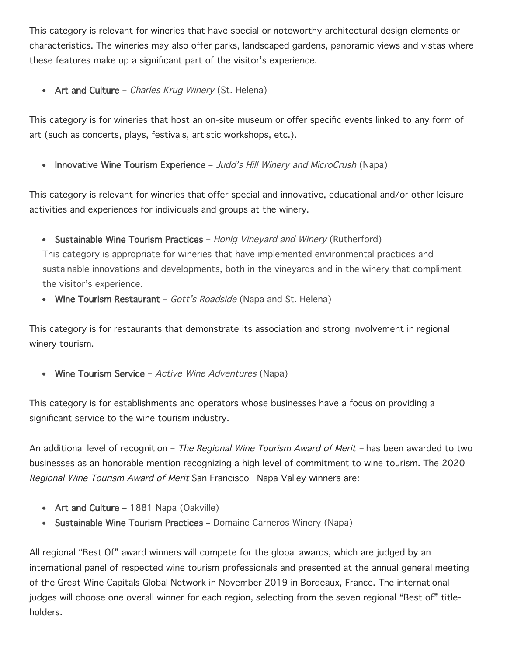This category is relevant for wineries that have special or noteworthy architectural design elements or characteristics. The wineries may also offer parks, landscaped gardens, panoramic views and vistas where these features make up a significant part of the visitor's experience.

• Art and Culture – Charles Krug Winery (St. Helena)

This category is for wineries that host an on-site museum or offer specific events linked to any form of art (such as concerts, plays, festivals, artistic workshops, etc.).

• Innovative Wine Tourism Experience – Judd's Hill Winery and MicroCrush (Napa)

This category is relevant for wineries that offer special and innovative, educational and/or other leisure activities and experiences for individuals and groups at the winery.

• Sustainable Wine Tourism Practices – Honig Vineyard and Winery (Rutherford)

This category is appropriate for wineries that have implemented environmental practices and sustainable innovations and developments, both in the vineyards and in the winery that compliment the visitor's experience.

• Wine Tourism Restaurant – Gott's Roadside (Napa and St. Helena)

This category is for restaurants that demonstrate its association and strong involvement in regional winery tourism.

• Wine Tourism Service – Active Wine Adventures (Napa)

This category is for establishments and operators whose businesses have a focus on providing a significant service to the wine tourism industry.

An additional level of recognition – The Regional Wine Tourism Award of Merit – has been awarded to two businesses as an honorable mention recognizing a high level of commitment to wine tourism. The 2020 Regional Wine Tourism Award of Merit San Francisco | Napa Valley winners are:

- Art and Culture 1881 Napa (Oakville)
- Sustainable Wine Tourism Practices Domaine Carneros Winery (Napa)

All regional "Best Of" award winners will compete for the global awards, which are judged by an international panel of respected wine tourism professionals and presented at the annual general meeting of the Great Wine Capitals Global Network in November 2019 in Bordeaux, France. The international judges will choose one overall winner for each region, selecting from the seven regional "Best of" titleholders.